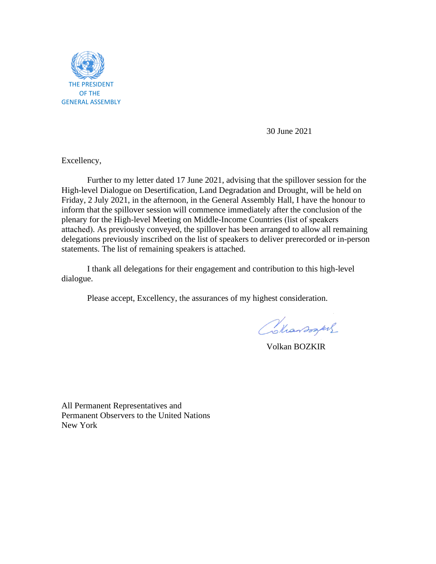

30 June 2021

Excellency,

Further to my letter dated 17 June 2021, advising that the spillover session for the High-level Dialogue on Desertification, Land Degradation and Drought, will be held on Friday, 2 July 2021, in the afternoon, in the General Assembly Hall, I have the honour to inform that the spillover session will commence immediately after the conclusion of the plenary for the High-level Meeting on Middle-Income Countries (list of speakers attached). As previously conveyed, the spillover has been arranged to allow all remaining delegations previously inscribed on the list of speakers to deliver prerecorded or in-person statements. The list of remaining speakers is attached.

I thank all delegations for their engagement and contribution to this high-level dialogue.

Please accept, Excellency, the assurances of my highest consideration.

Colarsogues

Volkan BOZKIR

All Permanent Representatives and Permanent Observers to the United Nations New York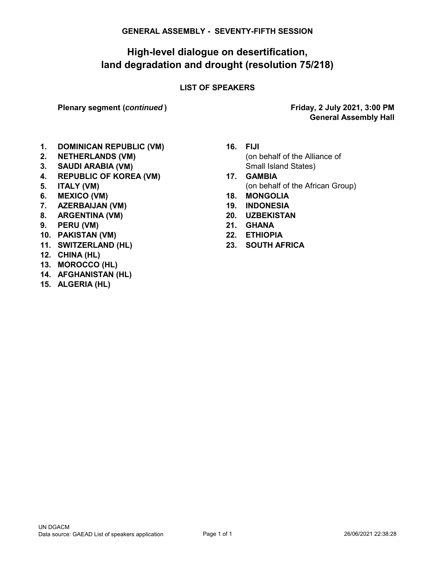#### **GENERAL ASSEMBLY - SEVENTY-FIFTH SESSION**

## **High-level dialogue on desertification, land degradation and drought (resolution 75/218)**

#### **LIST OF SPEAKERS**

**Plenary segment (***continued* **)**

**General Assembly Hall Friday, 2 July 2021, 3:00 PM**

- **1. DOMINICAN REPUBLIC (VM) 16. FIJI**
- 
- **3. SAUDI ARABIA (VM)** Small Island States)
- **4. REPUBLIC OF KOREA (VM) 17. GAMBIA**
- 
- **6. MEXICO (VM) 18. MONGOLIA**
- **7. AZERBAIJAN (VM) 19. INDONESIA**
- **8. ARGENTINA (VM) 20. UZBEKISTAN**
- **9. PERU (VM) 21. GHANA**
- **10. PAKISTAN (VM) 22. ETHIOPIA**
- **11. SWITZERLAND (HL) 23. SOUTH AFRICA**
- **12. CHINA (HL)**
- **13. MOROCCO (HL)**
- **14. AFGHANISTAN (HL)**
- **15. ALGERIA (HL)**
- **2. NETHERLANDS (VM)** (on behalf of the Alliance of
- **5. ITALY (VM)** (on behalf of the African Group)
	-
	-
	-
	-
	-
	-